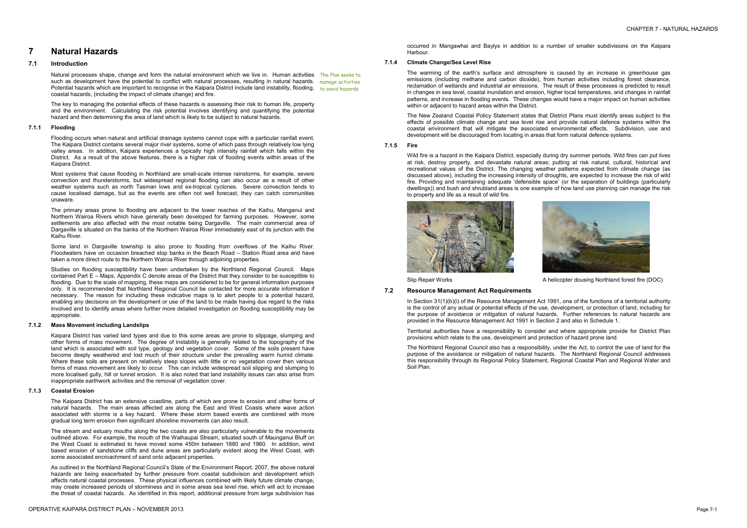# **7 Natural Hazards**

## **7.1 Introduction**

Natural processes shape, change and form the natural environment which we live in. Human activities The Plan seeks to such as development have the potential to conflict with natural processes, resulting in natural hazards. manage activities Potential hazards which are important to recognise in the Kaipara District include land instability, flooding, sto avoid hazards coastal hazards, (including the impact of climate change) and fire.

The key to managing the potential effects of these hazards is assessing their risk to human life, property and the environment. Calculating the risk potential involves identifying and quantifying the potential hazard and then determining the area of land which is likely to be subject to natural hazards.

#### **7.1.1 Flooding**

Flooding occurs when natural and artificial drainage systems cannot cope with a particular rainfall event. The Kaipara District contains several major river systems, some of which pass through relatively low lying valley areas. In addition, Kaipara experiences a typically high intensity rainfall which falls within the District. As a result of the above features, there is a higher risk of flooding events within areas of the Kaipara District.

Most systems that cause flooding in Northland are small-scale intense rainstorms, for example, severe convection and thunderstorms, but widespread regional flooding can also occur as a result of other weather systems such as north Tasman lows and ex-tropical cyclones. Severe convection tends to cause localised damage, but as the events are often not well forecast, they can catch communities unaware.

The primary areas prone to flooding are adjacent to the lower reaches of the Kaihu, Manganui and Northern Wairoa Rivers which have generally been developed for farming purposes. However, some settlements are also affected with the most notable being Dargaville. The main commercial area of Dargaville is situated on the banks of the Northern Wairoa River immediately east of its junction with the Kaihu River.

Some land in Dargaville township is also prone to flooding from overflows of the Kaihu River. Floodwaters have on occasion breached stop banks in the Beach Road – Station Road area and have taken a more direct route to the Northern Wairoa River through adjoining properties.

Studies on flooding susceptibility have been undertaken by the Northland Regional Council. Maps contained Part E – Maps, Appendix C denote areas of the District that they consider to be susceptible to flooding. Due to the scale of mapping, these maps are considered to be for general information purposes only. It is recommended that Northland Regional Council be contacted for more accurate information if necessary. The reason for including these indicative maps is to alert people to a potential hazard, enabling any decisions on the development or use of the land to be made having due regard to the risks involved and to identify areas where further more detailed investigation on flooding susceptibility may be appropriate.

#### **7.1.2 Mass Movement including Landslips**

Kaipara District has varied land types and due to this some areas are prone to slippage, slumping and other forms of mass movement. The degree of instability is generally related to the topography of the land which is associated with soil type, geology and vegetation cover. Some of the soils present have become deeply weathered and lost much of their structure under the prevailing warm humid climate. Where these soils are present on relatively steep slopes with little or no vegetation cover then various forms of mass movement are likely to occur. This can include widespread soil slipping and slumping to more localised gully, hill or tunnel erosion. It is also noted that land instability issues can also arise from inappropriate earthwork activities and the removal of vegetation cover.

#### **7.1.3 Coastal Erosion**

The Kaipara District has an extensive coastline, parts of which are prone to erosion and other forms of natural hazards. The main areas affected are along the East and West Coasts where wave action associated with storms is a key hazard. Where these storm based events are combined with more gradual long term erosion then significant shoreline movements can also result.

The stream and estuary mouths along the two coasts are also particularly vulnerable to the movements outlined above. For example, the mouth of the Waihaupai Stream, situated south of Maunganui Bluff on the West Coast is estimated to have moved some 450m between 1880 and 1960. In addition, wind based erosion of sandstone cliffs and dune areas are particularly evident along the West Coast, with some associated encroachment of sand onto adjacent properties.

As outlined in the Northland Regional Council's State of the Environment Report, 2007, the above natural hazards are being exacerbated by further pressure from coastal subdivision and development which affects natural coastal processes. These physical influences combined with likely future climate change, may create increased periods of storminess and in some areas sea level rise, which will act to increase the threat of coastal hazards. As identified in this report, additional pressure from large subdivision has

occurred in Mangawhai and Baylys in addition to a number of smaller subdivisions on the Kaipara Harbour.

#### **7.1.4 Climate Change/Sea Level Rise**

The warming of the earth's surface and atmosphere is caused by an increase in greenhouse gas emissions (including methane and carbon dioxide), from human activities including forest clearance, reclamation of wetlands and industrial air emissions. The result of these processes is predicted to result in changes in sea level, coastal inundation and erosion, higher local temperatures, and changes in rainfall patterns, and increase in flooding events. These changes would have a major impact on human activities within or adjacent to hazard areas within the District.

The New Zealand Coastal Policy Statement states that District Plans must identify areas subject to the effects of possible climate change and sea level rise and provide natural defence systems within the coastal environment that will mitigate the associated environmental effects. Subdivision, use and development will be discouraged from locating in areas that form natural defence systems.

#### **7.1.5 Fire**

Wild fire is a hazard in the Kaipara District, especially during dry summer periods. Wild fires can put lives at risk, destroy property, and devastate natural areas; putting at risk natural, cultural, historical and recreational values of the District. The changing weather patterns expected from climate change (as discussed above), including the increasing intensity of droughts, are expected to increase the risk of wild fire. Providing and maintaining adequate 'defensible space' (or the separation of buildings (particularly dwellings)) and bush and shrubland areas is one example of how land use planning can manage the risk to property and life as a result of wild fire.







Slip Repair Works A helicopter dousing Northland forest fire (DOC)

## **7.2 Resource Management Act Requirements**

In Section 31(1)(b)(i) of the Resource Management Act 1991, one of the functions of a territorial authority is the control of any actual or potential effects of the use, development, or protection of land, including for the purpose of avoidance or mitigation of natural hazards. Further references to natural hazards are provided in the Resource Management Act 1991 in Section 2 and also in Schedule 1.

Territorial authorities have a responsibility to consider and where appropriate provide for District Plan provisions which relate to the use, development and protection of hazard prone land.

The Northland Regional Council also has a responsibility, under the Act, to control the use of land for the purpose of the avoidance or mitigation of natural hazards. The Northland Regional Council addresses this responsibility through its Regional Policy Statement, Regional Coastal Plan and Regional Water and Soil Plan.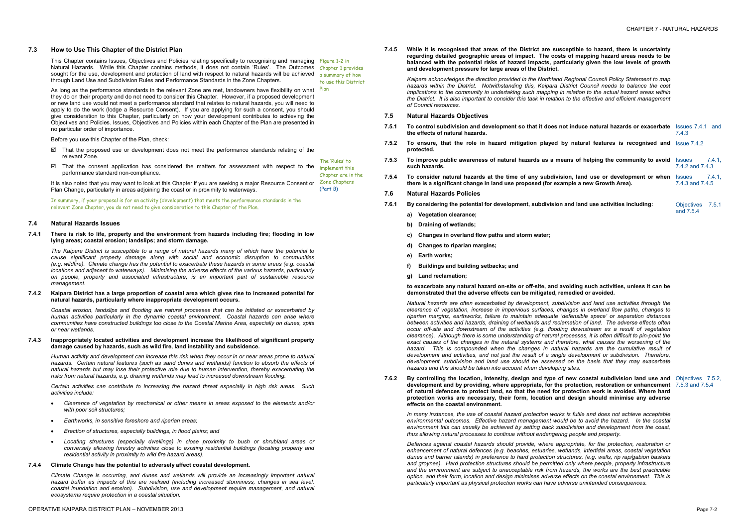#### **7.3 How to Use This Chapter of the District Plan**

This Chapter contains Issues, Objectives and Policies relating specifically to recognising and managing Figure 1-2 in Natural Hazards. While this Chapter contains methods, it does not contain 'Rules'. The Outcomes Chapter 1 provides sought for the use, development and protection of land with respect to natural hazards will be achieved a summary of how through Land Use and Subdivision Rules and Performance Standards in the Zone Chapters.

- $\boxtimes$  That the proposed use or development does not meet the performance standards relating of the relevant Zone. The 'Rules' to
- $\boxtimes$  That the consent application has considered the matters for assessment with respect to the performance standard non-compliance. implement this Chapter are in the

Before you use this Chapter of the Plan, check:

As long as the performance standards in the relevant Zone are met, landowners have flexibility on what they do on their property and do not need to consider this Chapter. However, if a proposed development or new land use would not meet a performance standard that relates to natural hazards, you will need to apply to do the work (lodge a Resource Consent). If you are applying for such a consent, you should give consideration to this Chapter, particularly on how your development contributes to achieving the Objectives and Policies. Issues, Objectives and Policies within each Chapter of the Plan are presented in no particular order of importance. Plan

The Kaipara District is susceptible to a range of natural hazards many of which have the potential to *cause significant property damage along with social and economic disruption to communities (e.g. wildfire). Climate change has the potential to exacerbate these hazards in some areas (e.g. coastal locations and adjacent to waterways). Minimising the adverse effects of the various hazards, particularly on people, property and associated infrastructure, is an important part of sustainable resource management.* 

#### 7.4.2 Kaipara District has a large proportion of coastal area which gives rise to increased potential for **natural hazards, particularly where inappropriate development occurs.**

It is also noted that you may want to look at this Chapter if you are seeking a major Resource Consent or Plan Change, particularly in areas adjoining the coast or in proximity to waterways. Zone Chapters (Part B)

In summary, if your proposal is for an activity (development) that meets the performance standards in the relevant Zone Chapter, you do not need to give consideration to this Chapter of the Plan.

Human activity and development can increase this risk when they occur in or near areas prone to natural *hazards. Certain natural features (such as sand dunes and wetlands) function to absorb the effects of natural hazards but may lose their protective role due to human intervention, thereby exacerbating the risks from natural hazards, e.g. draining wetlands may lead to increased downstream flooding.* 

to use this District

#### **7.4 Natural Hazards Issues**

#### **7.4.1 There is risk to life, property and the environment from hazards including fire; flooding in low lying areas; coastal erosion; landslips; and storm damage.**

*Coastal erosion, landslips and flooding are natural processes that can be initiated or exacerbated by human activities particularly in the dynamic coastal environment. Coastal hazards can arise where communities have constructed buildings too close to the Coastal Marine Area, especially on dunes, spits or near wetlands.* 

#### **7.4.3 Inappropriately located activities and development increase the likelihood of significant property damage caused by hazards, such as wild fire, land instability and subsidence.**

*Certain activities can contribute to increasing the hazard threat especially in high risk areas. Such activities include:* 

- · *Clearance of vegetation by mechanical or other means in areas exposed to the elements and/or with poor soil structures;*
- · *Earthworks, in sensitive foreshore and riparian areas;*
- · *Erection of structures, especially buildings, in flood plains; and*
- · *Locating structures (especially dwellings) in close proximity to bush or shrubland areas or conversely allowing forestry activities close to existing residential buildings (locating property and residential activity in proximity to wild fire hazard areas).*

7.6.2 By controlling the location, intensity, design and type of new coastal subdivision land use and Objectives 7.5.2, **development and by providing, where appropriate, for the protection, restoration or enhancement**  7.5.3 and 7.5.4 **of natural defences to protect land, so that the need for protection work is avoided. Where hard protection works are necessary, their form, location and design should minimise any adverse effects on the coastal environment.** 

#### **7.4.4 Climate Change has the potential to adversely affect coastal development.**

*Climate Change is occurring, and dunes and wetlands will provide an increasingly important natural hazard buffer as impacts of this are realised (including increased storminess, changes in sea level, coastal inundation and erosion). Subdivision, use and development require management, and natural ecosystems require protection in a coastal situation.* 

**7.4.5 While it is recognised that areas of the District are susceptible to hazard, there is uncertainty regarding detailed geographic areas of impact. The costs of mapping hazard areas needs to be balanced with the potential risks of hazard impacts, particularly given the low levels of growth and development pressure for large areas of the District.** 

*Kaipara acknowledges the direction provided in the Northland Regional Council Policy Statement to map hazards within the District. Notwithstanding this, Kaipara District Council needs to balance the cost implications to the community in undertaking such mapping in relation to the actual hazard areas within*  the District. It is also important to consider this task in relation to the effective and efficient management *of Council resources.* 

#### **7.5 Natural Hazards Objectives**

- **7.5.1 To control subdivision and development so that it does not induce natural hazards or exacerbate the effects of natural hazards.**
- **7.5.2 To ensure, that the role in hazard mitigation played by natural features is recognised and protected.**
- **7.5.3 To improve public awareness of natural hazards as a means of helping the community to avoid such hazards.**
- **7.5.4 To consider natural hazards at the time of any subdivision, there is a significant change in land use proposed (for example).**
- **7.6 Natural Hazards Policies**
- **7.6.1 By considering the potential for development, subdivision and land use activities including:** 
	- **a) Vegetation clearance;**
	- **b) Draining of wetlands;**
	- **c) Changes in overland flow paths and storm water;**
	- **d) Changes to riparian margins;**
	- **e) Earth works;**
	- **f) Buildings and building setbacks; and**
	- **g) Land reclamation;**

| ot induce natural hazards or exacerbate Issues 7.4.1 and                      | 7.4.3                         |
|-------------------------------------------------------------------------------|-------------------------------|
| <b>y</b> natural features is recognised and <b>Issue 7.4.2</b>                |                               |
| ans of helping the community to avoid Issues 7.4.1,                           | 7.4.2 and 7.4.3               |
| on, land use or development or when Issues 7.4.1.<br>nple a new Growth Area). | 7.4.3 and 7.4.5               |
| and land use activities including:                                            | Objectives 7.5.1<br>and 7.5.4 |

#### **to exacerbate any natural hazard on-site or off-site, and avoiding such activities, unless it can be demonstrated that the adverse effects can be mitigated, remedied or avoided.**

*Natural hazards are often exacerbated by development, subdivision and land use activities through the clearance of vegetation, increase in impervious surfaces, changes in overland flow paths, changes to riparian margins, earthworks, failure to maintain adequate 'defensible space' or separation distances between activities and hazards, draining of wetlands and reclamation of land. The adverse effects often occur off-site and downstream of the activities (e.g. flooding downstream as a result of vegetation clearance). Although there is some understanding of natural processes, it is often difficult to pin-point the exact causes of the changes in the natural systems and therefore, what causes the worsening of the hazard. This is compounded when the changes in natural hazards are the cumulative result of development and activities, and not just the result of a single development or subdivision. Therefore, development, subdivision and land use should be assessed on the basis that they may exacerbate hazards and this should be taken into account when developing sites.* 

*In many instances, the use of coastal hazard protection works is futile and does not achieve acceptable environmental outcomes. Effective hazard management would be to avoid the hazard. In the coastal environment this can usually be achieved by setting back subdivision and development from the coast, thus allowing natural processes to continue without endangering people and property.* 

*Defences against coastal hazards should provide, where appropriate, for the protection, restoration or enhancement of natural defences (e.g. beaches, estuaries, wetlands, intertidal areas, coastal vegetation dunes and barrier islands) in preference to hard protection structures, (e.g. walls, rip rap/gabion baskets and groynes). Hard protection structures should be permitted only where people, property infrastructure and the environment are subject to unacceptable risk from hazards, the works are the best practicable option, and their form, location and design minimises adverse effects on the coastal environment. This is particularly important as physical protection works can have adverse unintended consequences.*